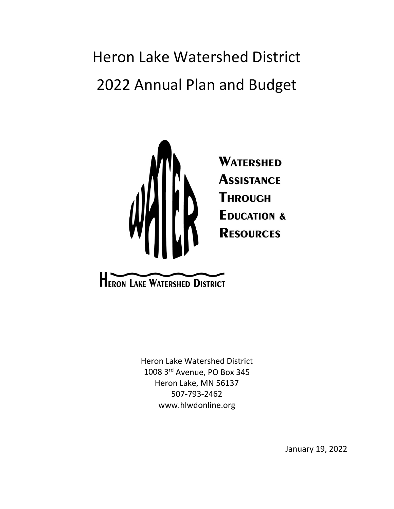Heron Lake Watershed District 2022 Annual Plan and Budget



**HERON LAKE WATERSHED DISTRICT** 

Heron Lake Watershed District 1008 3rd Avenue, PO Box 345 Heron Lake, MN 56137 507-793-2462 [www.hlwdonline.org](http://www.hlwdonline.org/)

January 19, 2022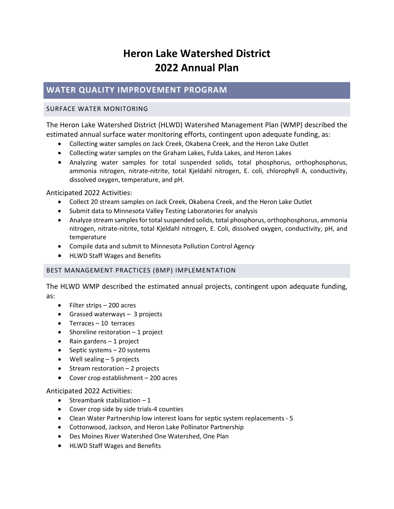# **Heron Lake Watershed District 2022 Annual Plan**

# **WATER QUALITY IMPROVEMENT PROGRAM**

### SURFACE WATER MONITORING

The Heron Lake Watershed District (HLWD) Watershed Management Plan (WMP) described the estimated annual surface water monitoring efforts, contingent upon adequate funding, as:

- Collecting water samples on Jack Creek, Okabena Creek, and the Heron Lake Outlet
- Collecting water samples on the Graham Lakes, Fulda Lakes, and Heron Lakes
- Analyzing water samples for total suspended solids, total phosphorus, orthophosphorus, ammonia nitrogen, nitrate-nitrite, total Kjeldahl nitrogen, E. coli, chlorophyll A, conductivity, dissolved oxygen, temperature, and pH.

Anticipated 2022 Activities:

- Collect 20 stream samples on Jack Creek, Okabena Creek, and the Heron Lake Outlet
- Submit data to Minnesota Valley Testing Laboratories for analysis
- Analyze stream samples for total suspended solids, total phosphorus, orthophosphorus, ammonia nitrogen, nitrate-nitrite, total Kjeldahl nitrogen, E. Coli, dissolved oxygen, conductivity, pH, and temperature
- Compile data and submit to Minnesota Pollution Control Agency
- HLWD Staff Wages and Benefits

## BEST MANAGEMENT PRACTICES (BMP) IMPLEMENTATION

The HLWD WMP described the estimated annual projects, contingent upon adequate funding, as:

- Filter strips 200 acres
- Grassed waterways 3 projects
- Terraces 10 terraces
- Shoreline restoration 1 project
- Rain gardens 1 project
- Septic systems 20 systems
- Well sealing 5 projects
- Stream restoration 2 projects
- Cover crop establishment 200 acres

Anticipated 2022 Activities:

- Streambank stabilization  $-1$
- Cover crop side by side trials-4 counties
- Clean Water Partnership low interest loans for septic system replacements 5
- Cottonwood, Jackson, and Heron Lake Pollinator Partnership
- Des Moines River Watershed One Watershed, One Plan
- HLWD Staff Wages and Benefits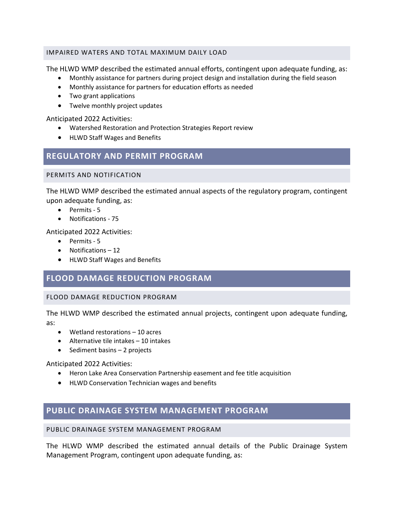### IMPAIRED WATERS AND TOTAL MAXIMUM DAILY LOAD

The HLWD WMP described the estimated annual efforts, contingent upon adequate funding, as:

- Monthly assistance for partners during project design and installation during the field season
- Monthly assistance for partners for education efforts as needed
- Two grant applications
- Twelve monthly project updates

### Anticipated 2022 Activities:

- Watershed Restoration and Protection Strategies Report review
- HLWD Staff Wages and Benefits

# **REGULATORY AND PERMIT PROGRAM**

### PERMITS AND NOTIFICATION

The HLWD WMP described the estimated annual aspects of the regulatory program, contingent upon adequate funding, as:

- Permits 5
- Notifications 75

Anticipated 2022 Activities:

- Permits 5
- Notifications 12
- HLWD Staff Wages and Benefits

# **FLOOD DAMAGE REDUCTION PROGRAM**

## FLOOD DAMAGE REDUCTION PROGRAM

The HLWD WMP described the estimated annual projects, contingent upon adequate funding, as:

- Wetland restorations 10 acres
- Alternative tile intakes 10 intakes
- Sediment basins 2 projects

#### Anticipated 2022 Activities:

- Heron Lake Area Conservation Partnership easement and fee title acquisition
- HLWD Conservation Technician wages and benefits

# **PUBLIC DRAINAGE SYSTEM MANAGEMENT PROGRAM**

#### PUBLIC DRAINAGE SYSTEM MANAGEMENT PROGRAM

The HLWD WMP described the estimated annual details of the Public Drainage System Management Program, contingent upon adequate funding, as: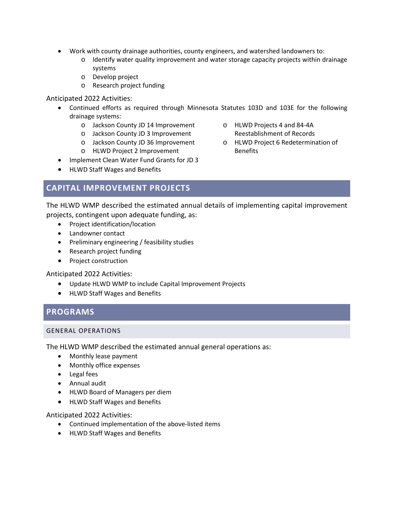- Work with county drainage authorities, county engineers, and watershed landowners to:
	- o Identify water quality improvement and water storage capacity projects within drainage systems
	- o Develop project
	- o Research project funding

#### Anticipated 2022 Activities:

- Continued efforts as required through Minnesota Statutes 103D and 103E for the following drainage systems:
	- o Jackson County JD 14 Improvement
	- o Jackson County JD 3 Improvement
	- o Jackson County JD 36 Improvement
	- o HLWD Project 2 Improvement
- Implement Clean Water Fund Grants for JD 3
- HLWD Staff Wages and Benefits
- o HLWD Projects 4 and 84-4A Reestablishment of Records
- o HLWD Project 6 Redetermination of Benefits

# **CAPITAL IMPROVEMENT PROJECTS**

The HLWD WMP described the estimated annual details of implementing capital improvement projects, contingent upon adequate funding, as:

- Project identification/location
- Landowner contact
- Preliminary engineering / feasibility studies
- Research project funding
- Project construction

## Anticipated 2022 Activities:

- Update HLWD WMP to include Capital Improvement Projects
- HLWD Staff Wages and Benefits

# **PROGRAMS**

#### GENERAL OPERATIONS

The HLWD WMP described the estimated annual general operations as:

- Monthly lease payment
- Monthly office expenses
- Legal fees
- Annual audit
- HLWD Board of Managers per diem
- HLWD Staff Wages and Benefits

Anticipated 2022 Activities:

- Continued implementation of the above-listed items
- HLWD Staff Wages and Benefits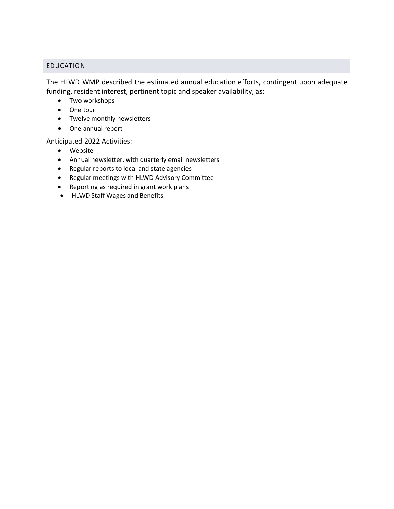## EDUCATION

The HLWD WMP described the estimated annual education efforts, contingent upon adequate funding, resident interest, pertinent topic and speaker availability, as:

- Two workshops
- One tour
- Twelve monthly newsletters
- One annual report

## Anticipated 2022 Activities:

- Website
- Annual newsletter, with quarterly email newsletters
- Regular reports to local and state agencies
- Regular meetings with HLWD Advisory Committee
- Reporting as required in grant work plans
- HLWD Staff Wages and Benefits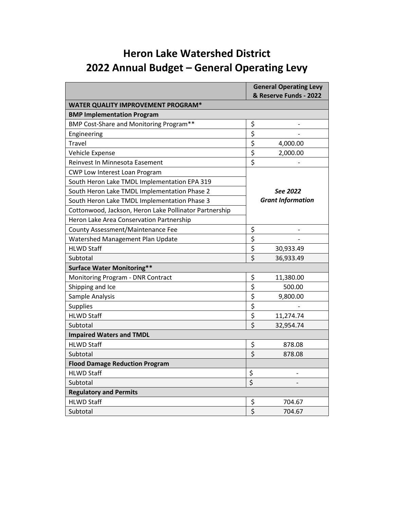# **Heron Lake Watershed District 2022 Annual Budget – General Operating Levy**

|                                                        | <b>General Operating Levy</b><br>& Reserve Funds - 2022 |                          |  |  |  |  |
|--------------------------------------------------------|---------------------------------------------------------|--------------------------|--|--|--|--|
| <b>WATER QUALITY IMPROVEMENT PROGRAM*</b>              |                                                         |                          |  |  |  |  |
| <b>BMP Implementation Program</b>                      |                                                         |                          |  |  |  |  |
| BMP Cost-Share and Monitoring Program**                | \$                                                      |                          |  |  |  |  |
| Engineering                                            | \$                                                      |                          |  |  |  |  |
| Travel                                                 | \$                                                      | 4,000.00                 |  |  |  |  |
| Vehicle Expense                                        | \$                                                      | 2,000.00                 |  |  |  |  |
| Reinvest In Minnesota Easement                         | $\overline{\xi}$                                        |                          |  |  |  |  |
| CWP Low Interest Loan Program                          |                                                         |                          |  |  |  |  |
| South Heron Lake TMDL Implementation EPA 319           |                                                         |                          |  |  |  |  |
| South Heron Lake TMDL Implementation Phase 2           |                                                         | See 2022                 |  |  |  |  |
| South Heron Lake TMDL Implementation Phase 3           |                                                         | <b>Grant Information</b> |  |  |  |  |
| Cottonwood, Jackson, Heron Lake Pollinator Partnership |                                                         |                          |  |  |  |  |
| Heron Lake Area Conservation Partnership               |                                                         |                          |  |  |  |  |
| County Assessment/Maintenance Fee                      | \$                                                      |                          |  |  |  |  |
| Watershed Management Plan Update                       | $\overline{\xi}$                                        |                          |  |  |  |  |
| <b>HLWD Staff</b>                                      | $\overline{\boldsymbol{\xi}}$                           | 30,933.49                |  |  |  |  |
| Subtotal                                               |                                                         | 36,933.49                |  |  |  |  |
| <b>Surface Water Monitoring**</b>                      |                                                         |                          |  |  |  |  |
| Monitoring Program - DNR Contract                      | \$                                                      | 11,380.00                |  |  |  |  |
| Shipping and Ice                                       | $\overline{\boldsymbol{\zeta}}$                         | 500.00                   |  |  |  |  |
| Sample Analysis                                        | \$                                                      | 9,800.00                 |  |  |  |  |
| <b>Supplies</b>                                        | $\overline{\xi}$                                        |                          |  |  |  |  |
| <b>HLWD Staff</b>                                      | $\overline{\boldsymbol{\xi}}$                           | 11,274.74                |  |  |  |  |
| Subtotal                                               | \$                                                      | 32,954.74                |  |  |  |  |
| <b>Impaired Waters and TMDL</b>                        |                                                         |                          |  |  |  |  |
| <b>HLWD Staff</b>                                      | \$                                                      | 878.08                   |  |  |  |  |
| Subtotal                                               | $\overline{\mathsf{S}}$                                 | 878.08                   |  |  |  |  |
| <b>Flood Damage Reduction Program</b>                  |                                                         |                          |  |  |  |  |
| <b>HLWD Staff</b>                                      | \$                                                      |                          |  |  |  |  |
| Subtotal                                               | $\overline{\boldsymbol{\xi}}$                           |                          |  |  |  |  |
| <b>Regulatory and Permits</b>                          |                                                         |                          |  |  |  |  |
| <b>HLWD Staff</b>                                      | \$                                                      | 704.67                   |  |  |  |  |
| Subtotal                                               | \$                                                      | 704.67                   |  |  |  |  |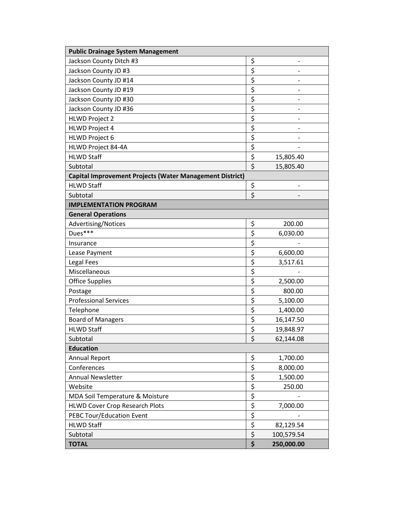| <b>Public Drainage System Management</b>                 |                                 |            |  |  |  |
|----------------------------------------------------------|---------------------------------|------------|--|--|--|
| Jackson County Ditch #3                                  | \$                              |            |  |  |  |
| Jackson County JD #3                                     | \$                              |            |  |  |  |
| Jackson County JD #14                                    | \$                              |            |  |  |  |
| Jackson County JD #19                                    | \$                              |            |  |  |  |
| Jackson County JD #30                                    | $\overline{\boldsymbol{\zeta}}$ |            |  |  |  |
| Jackson County JD #36                                    | $\overline{\xi}$                | -          |  |  |  |
| <b>HLWD Project 2</b>                                    | $\overline{\boldsymbol{\xi}}$   |            |  |  |  |
| <b>HLWD Project 4</b>                                    | \$                              |            |  |  |  |
| <b>HLWD Project 6</b>                                    | \$                              |            |  |  |  |
| HLWD Project 84-4A                                       | \$                              |            |  |  |  |
| <b>HLWD Staff</b>                                        | \$                              | 15,805.40  |  |  |  |
| Subtotal                                                 | \$                              | 15,805.40  |  |  |  |
| Capital Improvement Projects (Water Management District) |                                 |            |  |  |  |
| <b>HLWD Staff</b>                                        | \$                              |            |  |  |  |
| Subtotal                                                 | \$                              |            |  |  |  |
| <b>IMPLEMENTATION PROGRAM</b>                            |                                 |            |  |  |  |
| <b>General Operations</b>                                |                                 |            |  |  |  |
| Advertising/Notices                                      | \$                              | 200.00     |  |  |  |
| Dues***                                                  | \$                              | 6,030.00   |  |  |  |
| Insurance                                                | \$                              |            |  |  |  |
| Lease Payment                                            | \$                              | 6,600.00   |  |  |  |
| <b>Legal Fees</b>                                        | \$                              | 3,517.61   |  |  |  |
| Miscellaneous                                            | $\overline{\xi}$                |            |  |  |  |
| <b>Office Supplies</b>                                   | \$                              | 2,500.00   |  |  |  |
| Postage                                                  | \$                              | 800.00     |  |  |  |
| <b>Professional Services</b>                             | \$                              | 5,100.00   |  |  |  |
| Telephone                                                | $\overline{\xi}$                | 1,400.00   |  |  |  |
| <b>Board of Managers</b>                                 | \$                              | 16,147.50  |  |  |  |
| <b>HLWD Staff</b>                                        | \$                              | 19,848.97  |  |  |  |
| Subtotal                                                 | \$                              | 62,144.08  |  |  |  |
| <b>Education</b>                                         |                                 |            |  |  |  |
| <b>Annual Report</b>                                     | \$                              | 1,700.00   |  |  |  |
| Conferences                                              | \$                              | 8,000.00   |  |  |  |
| <b>Annual Newsletter</b>                                 | \$                              | 1,500.00   |  |  |  |
| Website                                                  | $\overline{\boldsymbol{\zeta}}$ | 250.00     |  |  |  |
| MDA Soil Temperature & Moisture                          | $\overline{\xi}$                |            |  |  |  |
| <b>HLWD Cover Crop Research Plots</b>                    | $\overline{\xi}$                | 7,000.00   |  |  |  |
| PEBC Tour/Education Event                                | \$                              |            |  |  |  |
| <b>HLWD Staff</b>                                        | \$                              | 82,129.54  |  |  |  |
| Subtotal                                                 | \$                              | 100,579.54 |  |  |  |
| <b>TOTAL</b>                                             | \$                              | 250,000.00 |  |  |  |